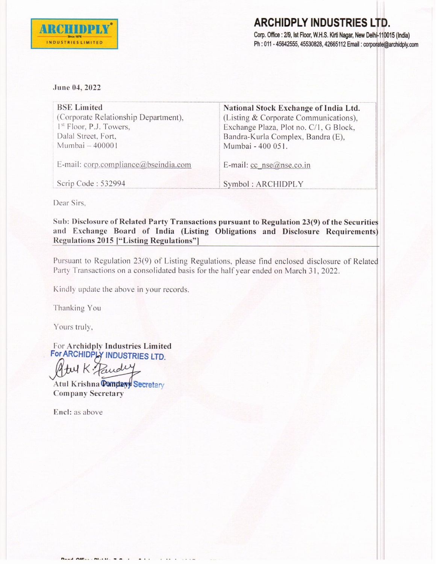

## **ARCHIDPLY INDUSTRIES LTD.** Corp. Office : 2/9, Ist Floor, W.H.S. Kirti Nagar, New Delhi-110015 (India) Ph: 011 - 45642555, 45530828, 42665112 Email: corporate@archidply.com

## June 04, 2022

| <b>BSE Limited</b>                   | National Stock Exchange of India Ltd.  |
|--------------------------------------|----------------------------------------|
| (Corporate Relationship Department), | (Listing & Corporate Communications),  |
| 1 <sup>st</sup> Floor, P.J. Towers,  | Exchange Plaza, Plot no. C/1, G Block, |
| Dalal Street, Fort,                  | Bandra-Kurla Complex, Bandra (E),      |
| Mumbai - 400001                      | Mumbai - 400 051.                      |
| E-mail: corp.compliance@bseindia.com | E-mail: $cc$ nse $@$ nse.co.in         |
| Scrip Code: 532994                   | Symbol: ARCHIDPLY                      |

Dear Sirs.

Sub: Disclosure of Related Party Transactions pursuant to Regulation 23(9) of the Securities and Exchange Board of India (Listing Obligations and Disclosure Requirements) Regulations 2015 ["Listing Regulations"]

Pursuant to Regulation 23(9) of Listing Regulations, please find enclosed disclosure of Related Party Transactions on a consolidated basis for the half year ended on March 31, 2022.

Kindly update the above in your records.

Thanking You

Yours truly,

For Archidply Industries Limited For ARCHIDPLY INDUSTRIES LTD.

tul K Paude

Atul Krishna Pamdayy Secretary **Company Secretary** 

Encl: as above

A CHANGE MILLER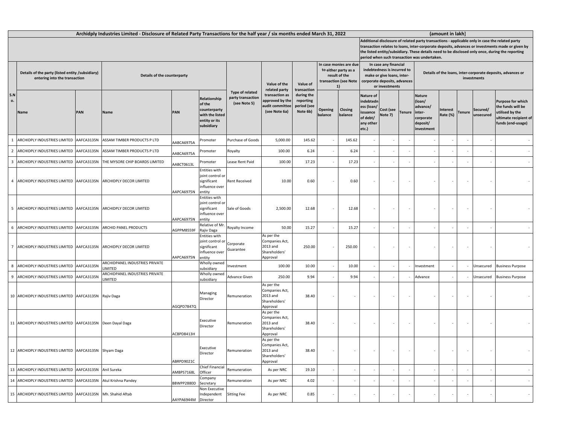| Archidply Industries Limited - Disclosure of Related Party Transactions for the half year / six months ended March 31, 2022 |                                                                                   |            |                                                 |                             |                                                                                          |                                                      |                                                                       |                                                                   |                                                                                                |                          | (amount in lakh)                                                                                                                                                                                                                                                                                                                                        |                      |               |                                                                                       |                      |        |                       |                                                                                                        |  |  |
|-----------------------------------------------------------------------------------------------------------------------------|-----------------------------------------------------------------------------------|------------|-------------------------------------------------|-----------------------------|------------------------------------------------------------------------------------------|------------------------------------------------------|-----------------------------------------------------------------------|-------------------------------------------------------------------|------------------------------------------------------------------------------------------------|--------------------------|---------------------------------------------------------------------------------------------------------------------------------------------------------------------------------------------------------------------------------------------------------------------------------------------------------------------------------------------------------|----------------------|---------------|---------------------------------------------------------------------------------------|----------------------|--------|-----------------------|--------------------------------------------------------------------------------------------------------|--|--|
|                                                                                                                             |                                                                                   |            |                                                 |                             |                                                                                          |                                                      |                                                                       |                                                                   |                                                                                                |                          | Additional disclosure of related party transactions - applicable only in case the related party<br>transaction relates to loans, inter-corporate deposits, advances or investments made or given by<br>the listed entity/subsidiary. These details need to be disclosed only once, during the reporting<br>period when such transaction was undertaken. |                      |               |                                                                                       |                      |        |                       |                                                                                                        |  |  |
|                                                                                                                             | Details of the party (listed entity /subsidiary)<br>entering into the transaction |            |                                                 | Details of the counterparty |                                                                                          |                                                      | Value of the<br>related party                                         | Value of                                                          | In case monies are due<br>to either party as a<br>result of the<br>transaction (see Note<br>1) |                          | In case any financial<br>indebtedness is incurred to<br>make or give loans, inter-<br>corporate deposits, advances<br>or investments                                                                                                                                                                                                                    |                      |               | Details of the loans, inter-corporate deposits, advances or<br>investments            |                      |        |                       |                                                                                                        |  |  |
| S.N<br>о.                                                                                                                   | <b>Name</b>                                                                       | PAN        | <b>Name</b>                                     | PAN                         | Relationship<br>of the<br>counterparty<br>with the listed<br>entity or its<br>subsidiary | Type of related<br>party transaction<br>(see Note 5) | transaction as<br>pproved by the<br>audit committee<br>(see Note 6a)  | transaction<br>during the<br>reporting<br>period (see<br>Note 6b) | Opening<br>balance                                                                             | Closing<br>balance       | Nature of<br>ndebtedn<br>ess (Ioan/<br>ssuance<br>of debt/<br>any other<br>etc.)                                                                                                                                                                                                                                                                        | Cost (see<br>Note 7) | <b>Tenure</b> | <b>Nature</b><br>(loan/<br>advance/<br>linter-<br>corporate<br>deposit/<br>investment | Interest<br>Rate (%) | Tenure | Secured/<br>unsecured | Purpose for which<br>he funds will be<br>utilised by the<br>ultimate recipient of<br>funds (end-usage) |  |  |
| $\mathbf{1}$                                                                                                                | ARCHIDPLY INDUSTRIES LIMITED                                                      | AAFCA3135N | ASSAM TIMBER PRODUCTS P LTD                     | AABCA6975A                  | Promoter                                                                                 | Purchase of Goods                                    | 5,000.00                                                              | 145.62                                                            |                                                                                                | 145.62                   |                                                                                                                                                                                                                                                                                                                                                         |                      |               |                                                                                       |                      |        |                       |                                                                                                        |  |  |
| $\overline{2}$                                                                                                              | ARCHIDPLY INDUSTRIES LIMITED                                                      | AAFCA3135N | ASSAM TIMBER PRODUCTS P LTD                     | AABCA6975A                  | romoter                                                                                  | Royalty                                              | 100.00                                                                | 6.24                                                              |                                                                                                | 6.24                     |                                                                                                                                                                                                                                                                                                                                                         |                      |               |                                                                                       |                      |        |                       |                                                                                                        |  |  |
| $\overline{3}$                                                                                                              | ARCHIDPLY INDUSTRIES LIMITED                                                      | AAFCA3135N | THE MYSORE CHIP BOARDS LIMITED                  | AABCT0613L                  | Promoter                                                                                 | Lease Rent Paid                                      | 100.00                                                                | 17.23                                                             |                                                                                                | 17.23                    |                                                                                                                                                                                                                                                                                                                                                         |                      |               |                                                                                       |                      |        |                       |                                                                                                        |  |  |
| $\overline{4}$                                                                                                              | ARCHIDPLY INDUSTRIES LIMITED                                                      | AAFCA3135N | ARCHIDPLY DECOR LIMITED                         | AAPCA6975N                  | <b>Entities with</b><br>joint control or<br>significant<br>influence over<br>entity      | ent Received                                         | 10.00                                                                 | 0.60                                                              |                                                                                                | 0.60                     |                                                                                                                                                                                                                                                                                                                                                         |                      |               |                                                                                       |                      |        |                       |                                                                                                        |  |  |
|                                                                                                                             | 5 ARCHIDPLY INDUSTRIES LIMITED AAFCA3135N                                         |            | ARCHIDPLY DECOR LIMITED                         | AAPCA6975N                  | Entities with<br>oint control or<br>significant<br>influence over<br>entity              | Sale of Goods                                        | 2,500.00                                                              | 12.68                                                             |                                                                                                | 12.68                    |                                                                                                                                                                                                                                                                                                                                                         |                      |               |                                                                                       | $\sim$               |        |                       |                                                                                                        |  |  |
| 6                                                                                                                           | ARCHIDPLY INDUSTRIES LIMITED AAFCA3135N                                           |            | ARCHID PANEL PRODUCTS                           | AGPPM8559F                  | Relative of Mr<br>Rajiv Daga                                                             | Royalty Income                                       | 50.00                                                                 | 15.27                                                             |                                                                                                | 15.27                    |                                                                                                                                                                                                                                                                                                                                                         |                      |               |                                                                                       |                      |        |                       | $\sim$                                                                                                 |  |  |
|                                                                                                                             | 7 ARCHIDPLY INDUSTRIES LIMITED AAFCA3135N                                         |            | ARCHIDPLY DECOR LIMITED                         | AAPCA6975N                  | <b>Entities with</b><br>joint control or<br>significant<br>nfluence over<br>entity       | Corporate<br><b>Guarantee</b>                        | As per the<br>Companies Act,<br>2013 and<br>Shareholders'<br>Approval | 250.00                                                            |                                                                                                | 250.00                   |                                                                                                                                                                                                                                                                                                                                                         |                      |               |                                                                                       |                      |        |                       |                                                                                                        |  |  |
| 8                                                                                                                           | ARCHIDPLY INDUSTRIES LIMITED                                                      | AAFCA3135N | ARCHIDPANEL INDUSTRIES PRIVATE<br><b>IMITED</b> |                             | Wholly owned<br>subsidiary                                                               | nvestment                                            | 100.00                                                                | 10.00                                                             |                                                                                                | 10.00                    |                                                                                                                                                                                                                                                                                                                                                         |                      |               | nvestment                                                                             |                      |        | Unsecured             | <b>Business Purpose</b>                                                                                |  |  |
| 9                                                                                                                           | ARCHIDPLY INDUSTRIES LIMITED                                                      | AAFCA3135N | ARCHIDPANEL INDUSTRIES PRIVATE<br><b>IMITED</b> |                             | Wholly owned<br>subsidiary                                                               | Advance Given                                        | 250.00                                                                | 9.94                                                              |                                                                                                | 9.94                     |                                                                                                                                                                                                                                                                                                                                                         |                      |               | Advance                                                                               |                      |        | Unsecured             | <b>Business Purpose</b>                                                                                |  |  |
|                                                                                                                             | 10 ARCHIDPLY INDUSTRIES LIMITED AAFCA3135N Rajiv Daga                             |            |                                                 | AGQPD7847Q                  | Managing<br>Director                                                                     | Remuneration                                         | As per the<br>Companies Act,<br>2013 and<br>Shareholders'<br>Approval | 38.40                                                             |                                                                                                | $\overline{\phantom{a}}$ |                                                                                                                                                                                                                                                                                                                                                         |                      |               |                                                                                       |                      |        |                       |                                                                                                        |  |  |
|                                                                                                                             | 11 ARCHIDPLY INDUSTRIES LIMITED AAFCA3135N Deen Dayal Daga                        |            |                                                 | ACBPD8413H                  | Executive<br>Director                                                                    | Remuneration                                         | As per the<br>Companies Act,<br>2013 and<br>Shareholders'<br>Approval | 38.40                                                             |                                                                                                | $\overline{\phantom{a}}$ |                                                                                                                                                                                                                                                                                                                                                         |                      |               |                                                                                       |                      |        |                       |                                                                                                        |  |  |
|                                                                                                                             | 12 ARCHIDPLY INDUSTRIES LIMITED AAFCA3135N Shyam Daga                             |            |                                                 | ABRPD9021C                  | Executive<br>Director                                                                    | Remuneration                                         | As per the<br>Companies Act,<br>2013 and<br>Shareholders'<br>Approval | 38.40                                                             |                                                                                                | $\overline{\phantom{a}}$ |                                                                                                                                                                                                                                                                                                                                                         |                      |               |                                                                                       |                      |        |                       |                                                                                                        |  |  |
|                                                                                                                             | 13 ARCHIDPLY INDUSTRIES LIMITED                                                   | AAFCA3135N | Anil Sureka                                     | AMBPS7168L                  | Chief Financial<br>Officer                                                               | Remuneration                                         | As per NRC                                                            | 19.10                                                             |                                                                                                |                          |                                                                                                                                                                                                                                                                                                                                                         |                      |               |                                                                                       |                      |        |                       |                                                                                                        |  |  |
|                                                                                                                             | 14 ARCHIDPLY INDUSTRIES LIMITED                                                   | AAFCA3135N | Atul Krishna Pandey                             | BBWPP2880D                  | Company<br>Secretary                                                                     | emuneration?                                         | As per NRC                                                            | 4.02                                                              |                                                                                                |                          |                                                                                                                                                                                                                                                                                                                                                         |                      |               |                                                                                       |                      |        |                       |                                                                                                        |  |  |
|                                                                                                                             | 15 ARCHIDPLY INDUSTRIES LIMITED AAFCA3135N Mh. Shahid Aftab                       |            |                                                 | AAYPA6944M                  | Non Executive<br>Independent<br>Director                                                 | <b>Sitting Fee</b>                                   | As per NRC                                                            | 0.85                                                              |                                                                                                | $\epsilon$               |                                                                                                                                                                                                                                                                                                                                                         |                      |               |                                                                                       |                      |        |                       |                                                                                                        |  |  |